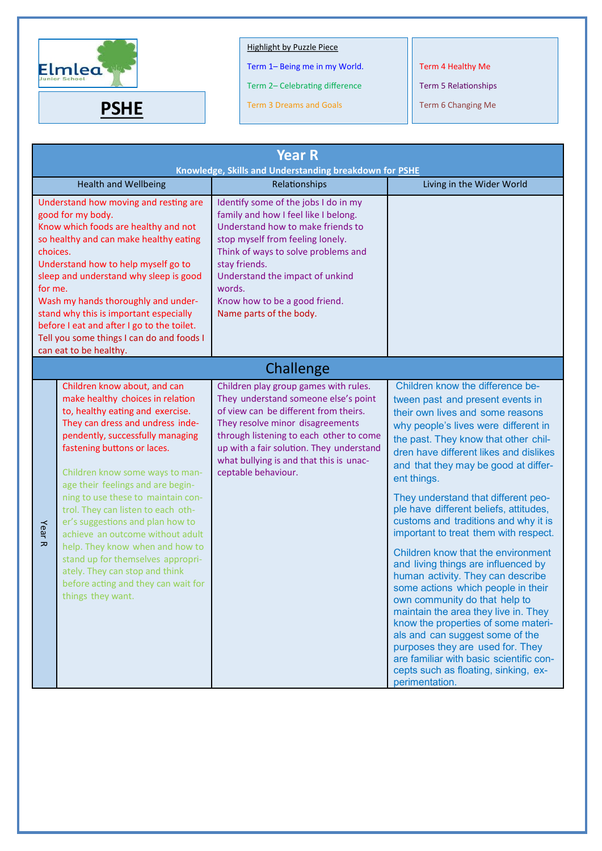

Term 1– Being me in my World.

Term 2– Celebrating difference

**PSHE** Term 3 Dreams and Goals **Term 6 Changing Me** 

Term 4 Healthy Me

| <b>Year R</b><br>Knowledge, Skills and Understanding breakdown for PSHE                                                                                                                                                                                                                                                                                                                                                                                    |                                                                                                                                                                                                                                                                                                                                                                                                                                                                                                                                                                                                               |                                                                                                                                                                                                                                                                                                                        |                                                                                                                                                                                                                                                                                                                                                                                                                                                                                                                                                                                                                                                                                                                                                                                                                                                                                                                 |
|------------------------------------------------------------------------------------------------------------------------------------------------------------------------------------------------------------------------------------------------------------------------------------------------------------------------------------------------------------------------------------------------------------------------------------------------------------|---------------------------------------------------------------------------------------------------------------------------------------------------------------------------------------------------------------------------------------------------------------------------------------------------------------------------------------------------------------------------------------------------------------------------------------------------------------------------------------------------------------------------------------------------------------------------------------------------------------|------------------------------------------------------------------------------------------------------------------------------------------------------------------------------------------------------------------------------------------------------------------------------------------------------------------------|-----------------------------------------------------------------------------------------------------------------------------------------------------------------------------------------------------------------------------------------------------------------------------------------------------------------------------------------------------------------------------------------------------------------------------------------------------------------------------------------------------------------------------------------------------------------------------------------------------------------------------------------------------------------------------------------------------------------------------------------------------------------------------------------------------------------------------------------------------------------------------------------------------------------|
|                                                                                                                                                                                                                                                                                                                                                                                                                                                            | <b>Health and Wellbeing</b>                                                                                                                                                                                                                                                                                                                                                                                                                                                                                                                                                                                   | Relationships                                                                                                                                                                                                                                                                                                          | Living in the Wider World                                                                                                                                                                                                                                                                                                                                                                                                                                                                                                                                                                                                                                                                                                                                                                                                                                                                                       |
| Understand how moving and resting are<br>good for my body.<br>Know which foods are healthy and not<br>so healthy and can make healthy eating<br>choices.<br>Understand how to help myself go to<br>sleep and understand why sleep is good<br>for me.<br>Wash my hands thoroughly and under-<br>stand why this is important especially<br>before I eat and after I go to the toilet.<br>Tell you some things I can do and foods I<br>can eat to be healthy. |                                                                                                                                                                                                                                                                                                                                                                                                                                                                                                                                                                                                               | Identify some of the jobs I do in my<br>family and how I feel like I belong.<br>Understand how to make friends to<br>stop myself from feeling lonely.<br>Think of ways to solve problems and<br>stay friends.<br>Understand the impact of unkind<br>words.<br>Know how to be a good friend.<br>Name parts of the body. |                                                                                                                                                                                                                                                                                                                                                                                                                                                                                                                                                                                                                                                                                                                                                                                                                                                                                                                 |
|                                                                                                                                                                                                                                                                                                                                                                                                                                                            |                                                                                                                                                                                                                                                                                                                                                                                                                                                                                                                                                                                                               | Challenge                                                                                                                                                                                                                                                                                                              |                                                                                                                                                                                                                                                                                                                                                                                                                                                                                                                                                                                                                                                                                                                                                                                                                                                                                                                 |
| Year <sub>R</sub>                                                                                                                                                                                                                                                                                                                                                                                                                                          | Children know about, and can<br>make healthy choices in relation<br>to, healthy eating and exercise.<br>They can dress and undress inde-<br>pendently, successfully managing<br>fastening buttons or laces.<br>Children know some ways to man-<br>age their feelings and are begin-<br>ning to use these to maintain con-<br>trol. They can listen to each oth-<br>er's suggestions and plan how to<br>achieve an outcome without adult<br>help. They know when and how to<br>stand up for themselves appropri-<br>ately. They can stop and think<br>before acting and they can wait for<br>things they want. | Children play group games with rules.<br>They understand someone else's point<br>of view can be different from theirs.<br>They resolve minor disagreements<br>through listening to each other to come<br>up with a fair solution. They understand<br>what bullying is and that this is unac-<br>ceptable behaviour.    | Children know the difference be-<br>tween past and present events in<br>their own lives and some reasons<br>why people's lives were different in<br>the past. They know that other chil-<br>dren have different likes and dislikes<br>and that they may be good at differ-<br>ent things.<br>They understand that different peo-<br>ple have different beliefs, attitudes,<br>customs and traditions and why it is<br>important to treat them with respect.<br>Children know that the environment<br>and living things are influenced by<br>human activity. They can describe<br>some actions which people in their<br>own community do that help to<br>maintain the area they live in. They<br>know the properties of some materi-<br>als and can suggest some of the<br>purposes they are used for. They<br>are familiar with basic scientific con-<br>cepts such as floating, sinking, ex-<br>perimentation. |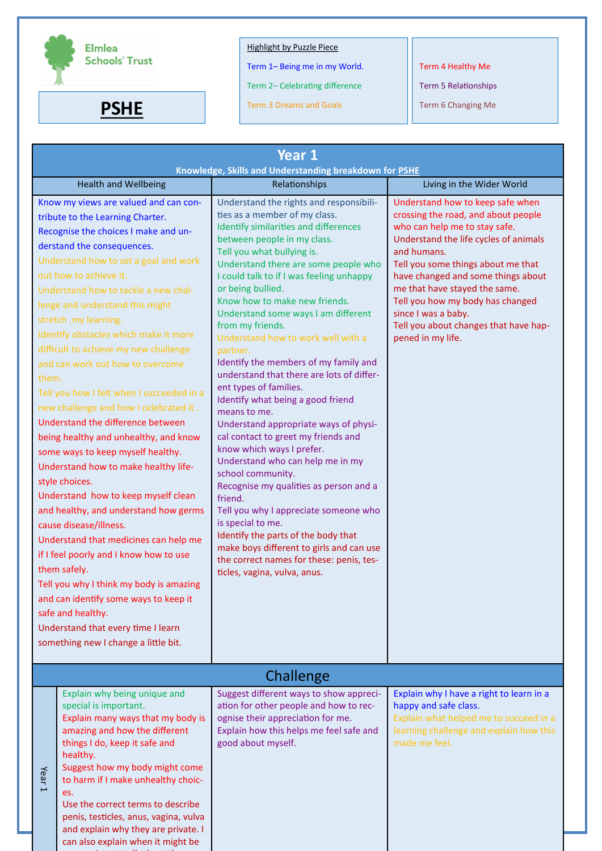

appropriate to talk about the second control of the second control of the second control of the second control o

# Highlight by Puzzle Piece

Term 1– Being me in my World.

Term 2– Celebrating difference

**PSHE** Term 3 Dreams and Goals **Term 6 Changing Me** 

Term 4 Healthy Me

| Year 1<br>Knowledge, Skills and Understanding breakdown for PSHE                                                                                                                                                                                                                                                                                                                                                                                                                                                                                                                                                                                                                                                                                                                                                                                                                                                                                                                                                                                                                                                              |                                                                                                                                                                                                                                                                                                                                                                                                                                                                                                                                                                                                                                                                                                                                                                                                                                                                                                                                                                                                                                                                    |                                                                                                                                                                                                                                                                                                                                                                                                        |  |
|-------------------------------------------------------------------------------------------------------------------------------------------------------------------------------------------------------------------------------------------------------------------------------------------------------------------------------------------------------------------------------------------------------------------------------------------------------------------------------------------------------------------------------------------------------------------------------------------------------------------------------------------------------------------------------------------------------------------------------------------------------------------------------------------------------------------------------------------------------------------------------------------------------------------------------------------------------------------------------------------------------------------------------------------------------------------------------------------------------------------------------|--------------------------------------------------------------------------------------------------------------------------------------------------------------------------------------------------------------------------------------------------------------------------------------------------------------------------------------------------------------------------------------------------------------------------------------------------------------------------------------------------------------------------------------------------------------------------------------------------------------------------------------------------------------------------------------------------------------------------------------------------------------------------------------------------------------------------------------------------------------------------------------------------------------------------------------------------------------------------------------------------------------------------------------------------------------------|--------------------------------------------------------------------------------------------------------------------------------------------------------------------------------------------------------------------------------------------------------------------------------------------------------------------------------------------------------------------------------------------------------|--|
| <b>Health and Wellbeing</b>                                                                                                                                                                                                                                                                                                                                                                                                                                                                                                                                                                                                                                                                                                                                                                                                                                                                                                                                                                                                                                                                                                   | Relationships                                                                                                                                                                                                                                                                                                                                                                                                                                                                                                                                                                                                                                                                                                                                                                                                                                                                                                                                                                                                                                                      | Living in the Wider World                                                                                                                                                                                                                                                                                                                                                                              |  |
| Know my views are valued and can con-<br>tribute to the Learning Charter.<br>Recognise the choices I make and un-<br>derstand the consequences.<br>Understand how to set a goal and work<br>out how to achieve it.<br>Understand how to tackle a new chal-<br>lenge and understand this might<br>stretch .my learning.<br>Identify obstacles which make it more<br>difficult to achieve my new challenge<br>and can work out how to overcome<br>them.<br>Tell you how I felt when I succeeded in a<br>new challenge and how I celebrated it.<br>Understand the difference between<br>being healthy and unhealthy, and know<br>some ways to keep myself healthy.<br>Understand how to make healthy life-<br>style choices.<br>Understand how to keep myself clean<br>and healthy, and understand how germs<br>cause disease/illness.<br>Understand that medicines can help me<br>if I feel poorly and I know how to use<br>them safely.<br>Tell you why I think my body is amazing<br>and can identify some ways to keep it<br>safe and healthy.<br>Understand that every time I learn<br>something new I change a little bit. | Understand the rights and responsibili-<br>ties as a member of my class.<br>Identify similarities and differences<br>between people in my class.<br>Tell you what bullying is.<br>Understand there are some people who<br>I could talk to if I was feeling unhappy<br>or being bullied.<br>Know how to make new friends.<br>Understand some ways I am different<br>from my friends.<br>Understand how to work well with a<br>partner.<br>Identify the members of my family and<br>understand that there are lots of differ-<br>ent types of families.<br>Identify what being a good friend<br>means to me.<br>Understand appropriate ways of physi-<br>cal contact to greet my friends and<br>know which ways I prefer.<br>Understand who can help me in my<br>school community.<br>Recognise my qualities as person and a<br>friend.<br>Tell you why I appreciate someone who<br>is special to me.<br>Identify the parts of the body that<br>make boys different to girls and can use<br>the correct names for these: penis, tes-<br>ticles, vagina, vulva, anus. | Understand how to keep safe when<br>crossing the road, and about people<br>who can help me to stay safe.<br>Understand the life cycles of animals<br>and humans.<br>Tell you some things about me that<br>have changed and some things about<br>me that have stayed the same.<br>Tell you how my body has changed<br>since I was a baby.<br>Tell you about changes that have hap-<br>pened in my life. |  |
|                                                                                                                                                                                                                                                                                                                                                                                                                                                                                                                                                                                                                                                                                                                                                                                                                                                                                                                                                                                                                                                                                                                               | Challenge                                                                                                                                                                                                                                                                                                                                                                                                                                                                                                                                                                                                                                                                                                                                                                                                                                                                                                                                                                                                                                                          |                                                                                                                                                                                                                                                                                                                                                                                                        |  |
| Explain why being unique and<br>special is important.<br>Explain many ways that my body is<br>amazing and how the different<br>things I do, keep it safe and<br>healthy.<br>Suggest how my body might come<br>Year<br>to harm if I make unhealthy choic-<br>$\overline{\phantom{0}}$<br>es.<br>Use the correct terms to describe<br>penis, testicles, anus, vagina, vulva<br>and explain why they are private. I<br>can also explain when it might be                                                                                                                                                                                                                                                                                                                                                                                                                                                                                                                                                                                                                                                                         | Suggest different ways to show appreci-<br>ation for other people and how to rec-<br>ognise their appreciation for me.<br>Explain how this helps me feel safe and<br>good about myself.                                                                                                                                                                                                                                                                                                                                                                                                                                                                                                                                                                                                                                                                                                                                                                                                                                                                            | Explain why I have a right to learn in a<br>happy and safe class.<br>Explain what helped me to succeed in a<br>learning challenge and explain how this<br>made me feel.                                                                                                                                                                                                                                |  |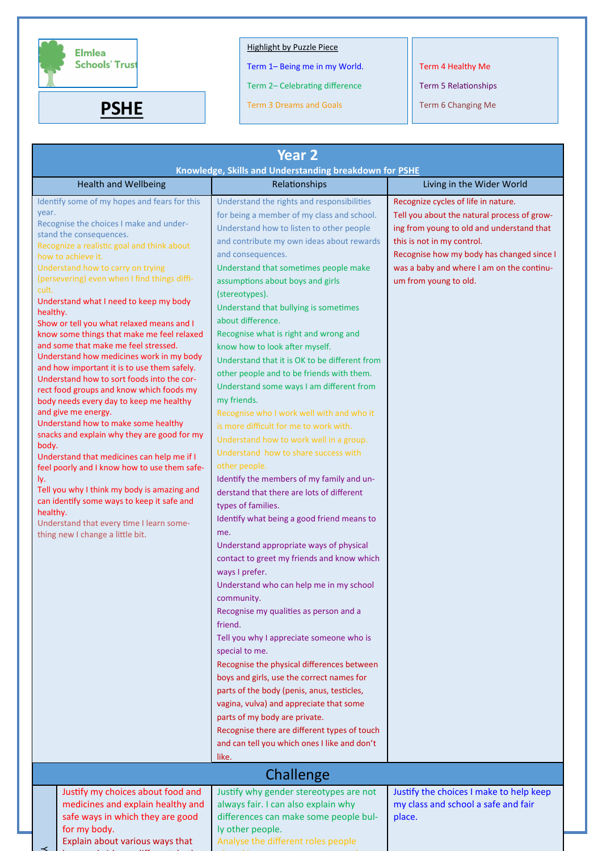

Term 1– Being me in my World.

Term 2– Celebrating difference

**PSHE** Term 3 Dreams and Goals **Term 6 Changing Me** 

Term 4 Healthy Me

Term 5 Relationships

| <b>Year 2</b>                                                                                                                                                                                                                                                                                                                                                                                                                                                                                                                                                                                                                                                                                                                                                                                                                                                                                                                                                                                                                                                                                                                              |                                                                                                                                                                                                                                                                                                                                                                                                                                                                                                                                                                                                                                                                                                                                                                                                                                                                                                                                                                                                                                                                                                                                                                                                                                                                                                                                                                                                                                                                                                                                                                                     |                                                                                                                                                                                                                                                                                  |  |
|--------------------------------------------------------------------------------------------------------------------------------------------------------------------------------------------------------------------------------------------------------------------------------------------------------------------------------------------------------------------------------------------------------------------------------------------------------------------------------------------------------------------------------------------------------------------------------------------------------------------------------------------------------------------------------------------------------------------------------------------------------------------------------------------------------------------------------------------------------------------------------------------------------------------------------------------------------------------------------------------------------------------------------------------------------------------------------------------------------------------------------------------|-------------------------------------------------------------------------------------------------------------------------------------------------------------------------------------------------------------------------------------------------------------------------------------------------------------------------------------------------------------------------------------------------------------------------------------------------------------------------------------------------------------------------------------------------------------------------------------------------------------------------------------------------------------------------------------------------------------------------------------------------------------------------------------------------------------------------------------------------------------------------------------------------------------------------------------------------------------------------------------------------------------------------------------------------------------------------------------------------------------------------------------------------------------------------------------------------------------------------------------------------------------------------------------------------------------------------------------------------------------------------------------------------------------------------------------------------------------------------------------------------------------------------------------------------------------------------------------|----------------------------------------------------------------------------------------------------------------------------------------------------------------------------------------------------------------------------------------------------------------------------------|--|
|                                                                                                                                                                                                                                                                                                                                                                                                                                                                                                                                                                                                                                                                                                                                                                                                                                                                                                                                                                                                                                                                                                                                            | Knowledge, Skills and Understanding breakdown for PSHE                                                                                                                                                                                                                                                                                                                                                                                                                                                                                                                                                                                                                                                                                                                                                                                                                                                                                                                                                                                                                                                                                                                                                                                                                                                                                                                                                                                                                                                                                                                              |                                                                                                                                                                                                                                                                                  |  |
| <b>Health and Wellbeing</b>                                                                                                                                                                                                                                                                                                                                                                                                                                                                                                                                                                                                                                                                                                                                                                                                                                                                                                                                                                                                                                                                                                                | Relationships                                                                                                                                                                                                                                                                                                                                                                                                                                                                                                                                                                                                                                                                                                                                                                                                                                                                                                                                                                                                                                                                                                                                                                                                                                                                                                                                                                                                                                                                                                                                                                       | Living in the Wider World                                                                                                                                                                                                                                                        |  |
| Identify some of my hopes and fears for this<br>year.<br>Recognise the choices I make and under-<br>stand the consequences.<br>Recognize a realistic goal and think about<br>how to achieve it.<br>Understand how to carry on trying<br>(persevering) even when I find things diffi-<br>cult.<br>Understand what I need to keep my body<br>healthy.<br>Show or tell you what relaxed means and I<br>know some things that make me feel relaxed<br>and some that make me feel stressed.<br>Understand how medicines work in my body<br>and how important it is to use them safely.<br>Understand how to sort foods into the cor-<br>rect food groups and know which foods my<br>body needs every day to keep me healthy<br>and give me energy.<br>Understand how to make some healthy<br>snacks and explain why they are good for my<br>body.<br>Understand that medicines can help me if I<br>feel poorly and I know how to use them safe-<br>ly.<br>Tell you why I think my body is amazing and<br>can identify some ways to keep it safe and<br>healthy.<br>Understand that every time I learn some-<br>thing new I change a little bit. | Understand the rights and responsibilities<br>for being a member of my class and school.<br>Understand how to listen to other people<br>and contribute my own ideas about rewards<br>and consequences.<br>Understand that sometimes people make<br>assumptions about boys and girls<br>(stereotypes).<br>Understand that bullying is sometimes<br>about difference.<br>Recognise what is right and wrong and<br>know how to look after myself.<br>Understand that it is OK to be different from<br>other people and to be friends with them.<br>Understand some ways I am different from<br>my friends.<br>Recognise who I work well with and who it<br>is more difficult for me to work with.<br>Understand how to work well in a group.<br>Understand how to share success with<br>other people.<br>Identify the members of my family and un-<br>derstand that there are lots of different<br>types of families.<br>Identify what being a good friend means to<br>me.<br>Understand appropriate ways of physical<br>contact to greet my friends and know which<br>ways I prefer.<br>Understand who can help me in my school<br>community.<br>Recognise my qualities as person and a<br>friend.<br>Tell you why I appreciate someone who is<br>special to me.<br>Recognise the physical differences between<br>boys and girls, use the correct names for<br>parts of the body (penis, anus, testicles,<br>vagina, vulva) and appreciate that some<br>parts of my body are private.<br>Recognise there are different types of touch<br>and can tell you which ones I like and don't | Recognize cycles of life in nature.<br>Tell you about the natural process of grow-<br>ing from young to old and understand that<br>this is not in my control.<br>Recognise how my body has changed since I<br>was a baby and where I am on the continu-<br>um from young to old. |  |
|                                                                                                                                                                                                                                                                                                                                                                                                                                                                                                                                                                                                                                                                                                                                                                                                                                                                                                                                                                                                                                                                                                                                            | like.                                                                                                                                                                                                                                                                                                                                                                                                                                                                                                                                                                                                                                                                                                                                                                                                                                                                                                                                                                                                                                                                                                                                                                                                                                                                                                                                                                                                                                                                                                                                                                               |                                                                                                                                                                                                                                                                                  |  |
|                                                                                                                                                                                                                                                                                                                                                                                                                                                                                                                                                                                                                                                                                                                                                                                                                                                                                                                                                                                                                                                                                                                                            | Challenge                                                                                                                                                                                                                                                                                                                                                                                                                                                                                                                                                                                                                                                                                                                                                                                                                                                                                                                                                                                                                                                                                                                                                                                                                                                                                                                                                                                                                                                                                                                                                                           |                                                                                                                                                                                                                                                                                  |  |
| Justify my choices about food and<br>medicines and explain healthy and<br>safe ways in which they are good<br>for my body.                                                                                                                                                                                                                                                                                                                                                                                                                                                                                                                                                                                                                                                                                                                                                                                                                                                                                                                                                                                                                 | Justify why gender stereotypes are not<br>always fair. I can also explain why<br>differences can make some people bul-<br>ly other people.                                                                                                                                                                                                                                                                                                                                                                                                                                                                                                                                                                                                                                                                                                                                                                                                                                                                                                                                                                                                                                                                                                                                                                                                                                                                                                                                                                                                                                          | Justify the choices I make to help keep<br>my class and school a safe and fair<br>place.                                                                                                                                                                                         |  |

Explain about various ways that boys and girls are different, both

 $\rightarrow$ 

ly other people. Analyse the different roles people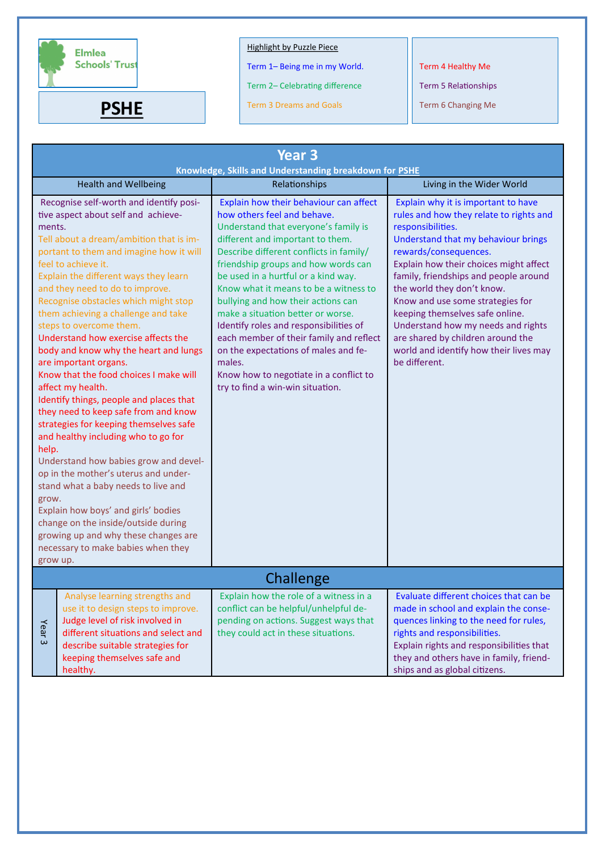

Term 1– Being me in my World.

Term 2– Celebrating difference

**PSHE** Term 3 Dreams and Goals **Term 6 Changing Me** 

Term 4 Healthy Me

| <b>Year 3</b><br>Knowledge, Skills and Understanding breakdown for PSHE                                                                                                                                                                                                                                                                                                                                                                                                                                                                                                                                                                                                                                                                                                                                                                                                                                                                                         |                                                                                                                                                                                                                               |                                                                                                                                                                                                                                                                                                                                                                                                                                                                                                                                                                                                                     |                                                                                                                                                                                                                                                                                                                                                                                                                                                                                                   |
|-----------------------------------------------------------------------------------------------------------------------------------------------------------------------------------------------------------------------------------------------------------------------------------------------------------------------------------------------------------------------------------------------------------------------------------------------------------------------------------------------------------------------------------------------------------------------------------------------------------------------------------------------------------------------------------------------------------------------------------------------------------------------------------------------------------------------------------------------------------------------------------------------------------------------------------------------------------------|-------------------------------------------------------------------------------------------------------------------------------------------------------------------------------------------------------------------------------|---------------------------------------------------------------------------------------------------------------------------------------------------------------------------------------------------------------------------------------------------------------------------------------------------------------------------------------------------------------------------------------------------------------------------------------------------------------------------------------------------------------------------------------------------------------------------------------------------------------------|---------------------------------------------------------------------------------------------------------------------------------------------------------------------------------------------------------------------------------------------------------------------------------------------------------------------------------------------------------------------------------------------------------------------------------------------------------------------------------------------------|
|                                                                                                                                                                                                                                                                                                                                                                                                                                                                                                                                                                                                                                                                                                                                                                                                                                                                                                                                                                 | <b>Health and Wellbeing</b>                                                                                                                                                                                                   | Relationships                                                                                                                                                                                                                                                                                                                                                                                                                                                                                                                                                                                                       | Living in the Wider World                                                                                                                                                                                                                                                                                                                                                                                                                                                                         |
| Recognise self-worth and identify posi-<br>tive aspect about self and achieve-<br>ments.<br>Tell about a dream/ambition that is im-<br>portant to them and imagine how it will<br>feel to achieve it.<br>Explain the different ways they learn<br>and they need to do to improve.<br>Recognise obstacles which might stop<br>them achieving a challenge and take<br>steps to overcome them.<br>Understand how exercise affects the<br>body and know why the heart and lungs<br>are important organs.<br>Know that the food choices I make will<br>affect my health.<br>Identify things, people and places that<br>they need to keep safe from and know<br>strategies for keeping themselves safe<br>and healthy including who to go for<br>help.<br>Understand how babies grow and devel-<br>op in the mother's uterus and under-<br>stand what a baby needs to live and<br>grow.<br>Explain how boys' and girls' bodies<br>change on the inside/outside during |                                                                                                                                                                                                                               | Explain how their behaviour can affect<br>how others feel and behave.<br>Understand that everyone's family is<br>different and important to them.<br>Describe different conflicts in family/<br>friendship groups and how words can<br>be used in a hurtful or a kind way.<br>Know what it means to be a witness to<br>bullying and how their actions can<br>make a situation better or worse.<br>Identify roles and responsibilities of<br>each member of their family and reflect<br>on the expectations of males and fe-<br>males.<br>Know how to negotiate in a conflict to<br>try to find a win-win situation. | Explain why it is important to have<br>rules and how they relate to rights and<br>responsibilities.<br>Understand that my behaviour brings<br>rewards/consequences.<br>Explain how their choices might affect<br>family, friendships and people around<br>the world they don't know.<br>Know and use some strategies for<br>keeping themselves safe online.<br>Understand how my needs and rights<br>are shared by children around the<br>world and identify how their lives may<br>be different. |
| grow up.<br>Challenge                                                                                                                                                                                                                                                                                                                                                                                                                                                                                                                                                                                                                                                                                                                                                                                                                                                                                                                                           |                                                                                                                                                                                                                               |                                                                                                                                                                                                                                                                                                                                                                                                                                                                                                                                                                                                                     |                                                                                                                                                                                                                                                                                                                                                                                                                                                                                                   |
| Year <sub>3</sub>                                                                                                                                                                                                                                                                                                                                                                                                                                                                                                                                                                                                                                                                                                                                                                                                                                                                                                                                               | Analyse learning strengths and<br>use it to design steps to improve.<br>Judge level of risk involved in<br>different situations and select and<br>describe suitable strategies for<br>keeping themselves safe and<br>healthy. | Explain how the role of a witness in a<br>conflict can be helpful/unhelpful de-<br>pending on actions. Suggest ways that<br>they could act in these situations.                                                                                                                                                                                                                                                                                                                                                                                                                                                     | Evaluate different choices that can be<br>made in school and explain the conse-<br>quences linking to the need for rules,<br>rights and responsibilities.<br>Explain rights and responsibilities that<br>they and others have in family, friend-<br>ships and as global citizens.                                                                                                                                                                                                                 |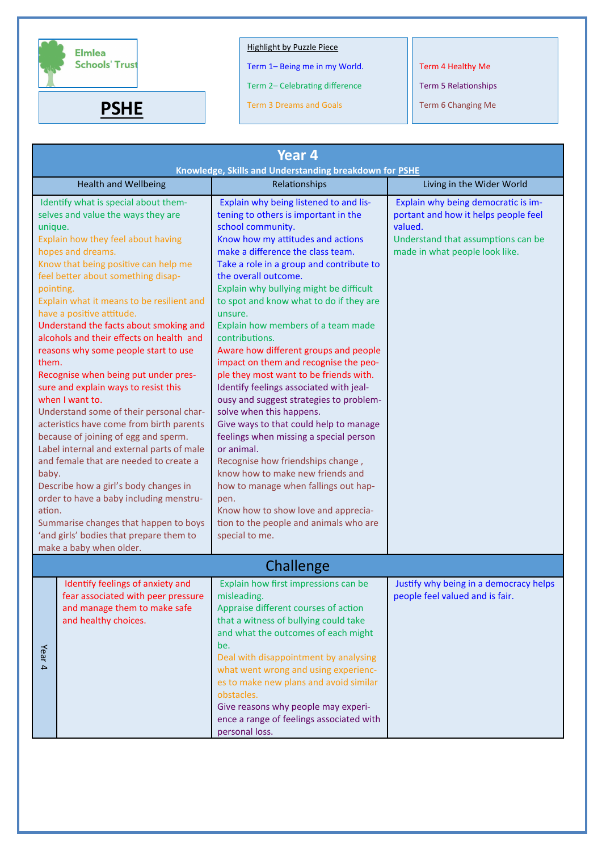

Term 1– Being me in my World.

Term 2– Celebrating difference

**PSHE** Term 3 Dreams and Goals **Term 6 Changing Me** 

Term 4 Healthy Me

| Year 4<br>Knowledge, Skills and Understanding breakdown for PSHE                                                                                                                                                                                                                                                                                                                                                                                                                                                                                                                                                                                                                                                                                                                                                                                                                                                                                                                 |                                                                                                                                |                                                                                                                                                                                                                                                                                                                                                                                                                                                                                                                                                                                                                                                                                                                                                                                                                                                                                                                                                                                        |                                                                                                                                                                |
|----------------------------------------------------------------------------------------------------------------------------------------------------------------------------------------------------------------------------------------------------------------------------------------------------------------------------------------------------------------------------------------------------------------------------------------------------------------------------------------------------------------------------------------------------------------------------------------------------------------------------------------------------------------------------------------------------------------------------------------------------------------------------------------------------------------------------------------------------------------------------------------------------------------------------------------------------------------------------------|--------------------------------------------------------------------------------------------------------------------------------|----------------------------------------------------------------------------------------------------------------------------------------------------------------------------------------------------------------------------------------------------------------------------------------------------------------------------------------------------------------------------------------------------------------------------------------------------------------------------------------------------------------------------------------------------------------------------------------------------------------------------------------------------------------------------------------------------------------------------------------------------------------------------------------------------------------------------------------------------------------------------------------------------------------------------------------------------------------------------------------|----------------------------------------------------------------------------------------------------------------------------------------------------------------|
|                                                                                                                                                                                                                                                                                                                                                                                                                                                                                                                                                                                                                                                                                                                                                                                                                                                                                                                                                                                  | <b>Health and Wellbeing</b>                                                                                                    | Relationships                                                                                                                                                                                                                                                                                                                                                                                                                                                                                                                                                                                                                                                                                                                                                                                                                                                                                                                                                                          | Living in the Wider World                                                                                                                                      |
| Identify what is special about them-<br>selves and value the ways they are<br>unique.<br>Explain how they feel about having<br>hopes and dreams.<br>Know that being positive can help me<br>feel better about something disap-<br>pointing.<br>Explain what it means to be resilient and<br>have a positive attitude.<br>Understand the facts about smoking and<br>alcohols and their effects on health and<br>reasons why some people start to use<br>them.<br>Recognise when being put under pres-<br>sure and explain ways to resist this<br>when I want to.<br>Understand some of their personal char-<br>acteristics have come from birth parents<br>because of joining of egg and sperm.<br>Label internal and external parts of male<br>and female that are needed to create a<br>baby.<br>Describe how a girl's body changes in<br>order to have a baby including menstru-<br>ation.<br>Summarise changes that happen to boys<br>'and girls' bodies that prepare them to |                                                                                                                                | Explain why being listened to and lis-<br>tening to others is important in the<br>school community.<br>Know how my attitudes and actions<br>make a difference the class team.<br>Take a role in a group and contribute to<br>the overall outcome.<br>Explain why bullying might be difficult<br>to spot and know what to do if they are<br>unsure.<br>Explain how members of a team made<br>contributions.<br>Aware how different groups and people<br>impact on them and recognise the peo-<br>ple they most want to be friends with.<br>Identify feelings associated with jeal-<br>ousy and suggest strategies to problem-<br>solve when this happens.<br>Give ways to that could help to manage<br>feelings when missing a special person<br>or animal.<br>Recognise how friendships change,<br>know how to make new friends and<br>how to manage when fallings out hap-<br>pen.<br>Know how to show love and apprecia-<br>tion to the people and animals who are<br>special to me. | Explain why being democratic is im-<br>portant and how it helps people feel<br>valued.<br>Understand that assumptions can be<br>made in what people look like. |
|                                                                                                                                                                                                                                                                                                                                                                                                                                                                                                                                                                                                                                                                                                                                                                                                                                                                                                                                                                                  |                                                                                                                                | Challenge                                                                                                                                                                                                                                                                                                                                                                                                                                                                                                                                                                                                                                                                                                                                                                                                                                                                                                                                                                              |                                                                                                                                                                |
| Year 4                                                                                                                                                                                                                                                                                                                                                                                                                                                                                                                                                                                                                                                                                                                                                                                                                                                                                                                                                                           | Identify feelings of anxiety and<br>fear associated with peer pressure<br>and manage them to make safe<br>and healthy choices. | Explain how first impressions can be<br>misleading.<br>Appraise different courses of action<br>that a witness of bullying could take<br>and what the outcomes of each might<br>be.<br>Deal with disappointment by analysing<br>what went wrong and using experienc-<br>es to make new plans and avoid similar<br>obstacles.<br>Give reasons why people may experi-<br>ence a range of feelings associated with<br>personal loss.                                                                                                                                                                                                                                                                                                                                                                                                                                                                                                                                                       | Justify why being in a democracy helps<br>people feel valued and is fair.                                                                                      |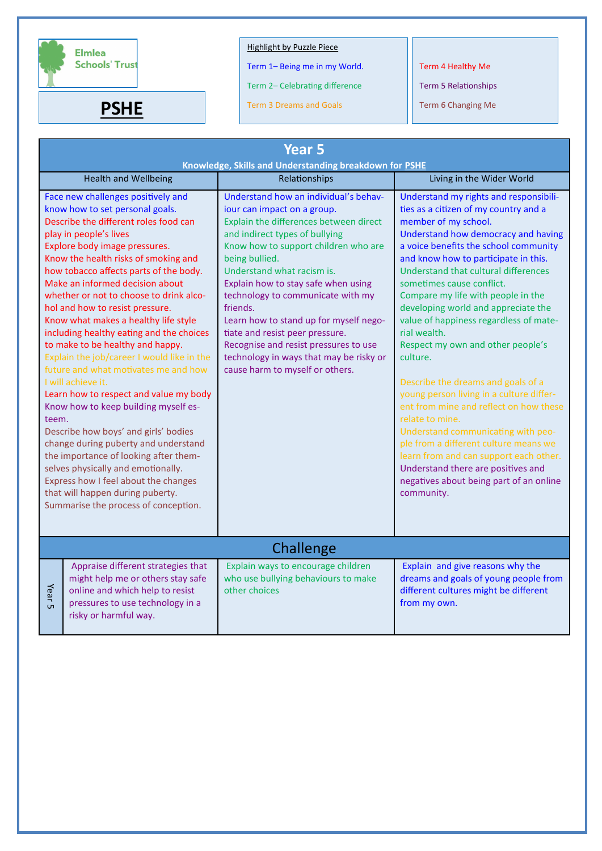

**PSHE**

# Highlight by Puzzle Piece

Term 1– Being me in my World.

Term 2– Celebrating difference

Term 3 Dreams and Goals

Term 4 Healthy Me

Term 5 Relationships

Term 6 Changing Me

| <b>Year 5</b><br>Knowledge, Skills and Understanding breakdown for PSHE |                                                                                                                                                                                                                                                                                                                                                                                                                                                                                                                                                                                                                                                                                                                                                                                                                                                                                                                                                                                       |                                                                                                                                                                                                                                                                                                                                                                                                                                                                                                                                      |                                                                                                                                                                                                                                                                                                                                                                                                                                                                                                                                                                                                                                                                                                                                                                                                                                                                     |
|-------------------------------------------------------------------------|---------------------------------------------------------------------------------------------------------------------------------------------------------------------------------------------------------------------------------------------------------------------------------------------------------------------------------------------------------------------------------------------------------------------------------------------------------------------------------------------------------------------------------------------------------------------------------------------------------------------------------------------------------------------------------------------------------------------------------------------------------------------------------------------------------------------------------------------------------------------------------------------------------------------------------------------------------------------------------------|--------------------------------------------------------------------------------------------------------------------------------------------------------------------------------------------------------------------------------------------------------------------------------------------------------------------------------------------------------------------------------------------------------------------------------------------------------------------------------------------------------------------------------------|---------------------------------------------------------------------------------------------------------------------------------------------------------------------------------------------------------------------------------------------------------------------------------------------------------------------------------------------------------------------------------------------------------------------------------------------------------------------------------------------------------------------------------------------------------------------------------------------------------------------------------------------------------------------------------------------------------------------------------------------------------------------------------------------------------------------------------------------------------------------|
|                                                                         | <b>Health and Wellbeing</b>                                                                                                                                                                                                                                                                                                                                                                                                                                                                                                                                                                                                                                                                                                                                                                                                                                                                                                                                                           | Relationships                                                                                                                                                                                                                                                                                                                                                                                                                                                                                                                        | Living in the Wider World                                                                                                                                                                                                                                                                                                                                                                                                                                                                                                                                                                                                                                                                                                                                                                                                                                           |
| teem.                                                                   | Face new challenges positively and<br>know how to set personal goals.<br>Describe the different roles food can<br>play in people's lives<br>Explore body image pressures.<br>Know the health risks of smoking and<br>how tobacco affects parts of the body.<br>Make an informed decision about<br>whether or not to choose to drink alco-<br>hol and how to resist pressure.<br>Know what makes a healthy life style<br>including healthy eating and the choices<br>to make to be healthy and happy.<br>Explain the job/career I would like in the<br>future and what motivates me and how<br>I will achieve it.<br>Learn how to respect and value my body<br>Know how to keep building myself es-<br>Describe how boys' and girls' bodies<br>change during puberty and understand<br>the importance of looking after them-<br>selves physically and emotionally.<br>Express how I feel about the changes<br>that will happen during puberty.<br>Summarise the process of conception. | Understand how an individual's behav-<br>iour can impact on a group.<br>Explain the differences between direct<br>and indirect types of bullying<br>Know how to support children who are<br>being bullied.<br>Understand what racism is.<br>Explain how to stay safe when using<br>technology to communicate with my<br>friends.<br>Learn how to stand up for myself nego-<br>tiate and resist peer pressure.<br>Recognise and resist pressures to use<br>technology in ways that may be risky or<br>cause harm to myself or others. | Understand my rights and responsibili-<br>ties as a citizen of my country and a<br>member of my school.<br>Understand how democracy and having<br>a voice benefits the school community<br>and know how to participate in this.<br>Understand that cultural differences<br>sometimes cause conflict.<br>Compare my life with people in the<br>developing world and appreciate the<br>value of happiness regardless of mate-<br>rial wealth.<br>Respect my own and other people's<br>culture.<br>Describe the dreams and goals of a<br>young person living in a culture differ-<br>ent from mine and reflect on how these<br>relate to mine.<br>Understand communicating with peo-<br>ple from a different culture means we<br>learn from and can support each other.<br>Understand there are positives and<br>negatives about being part of an online<br>community. |
| Challenge                                                               |                                                                                                                                                                                                                                                                                                                                                                                                                                                                                                                                                                                                                                                                                                                                                                                                                                                                                                                                                                                       |                                                                                                                                                                                                                                                                                                                                                                                                                                                                                                                                      |                                                                                                                                                                                                                                                                                                                                                                                                                                                                                                                                                                                                                                                                                                                                                                                                                                                                     |
| Year 5                                                                  | Appraise different strategies that<br>might help me or others stay safe<br>online and which help to resist<br>pressures to use technology in a<br>risky or harmful way.                                                                                                                                                                                                                                                                                                                                                                                                                                                                                                                                                                                                                                                                                                                                                                                                               | Explain ways to encourage children<br>who use bullying behaviours to make<br>other choices                                                                                                                                                                                                                                                                                                                                                                                                                                           | Explain and give reasons why the<br>dreams and goals of young people from<br>different cultures might be different<br>from my own.                                                                                                                                                                                                                                                                                                                                                                                                                                                                                                                                                                                                                                                                                                                                  |